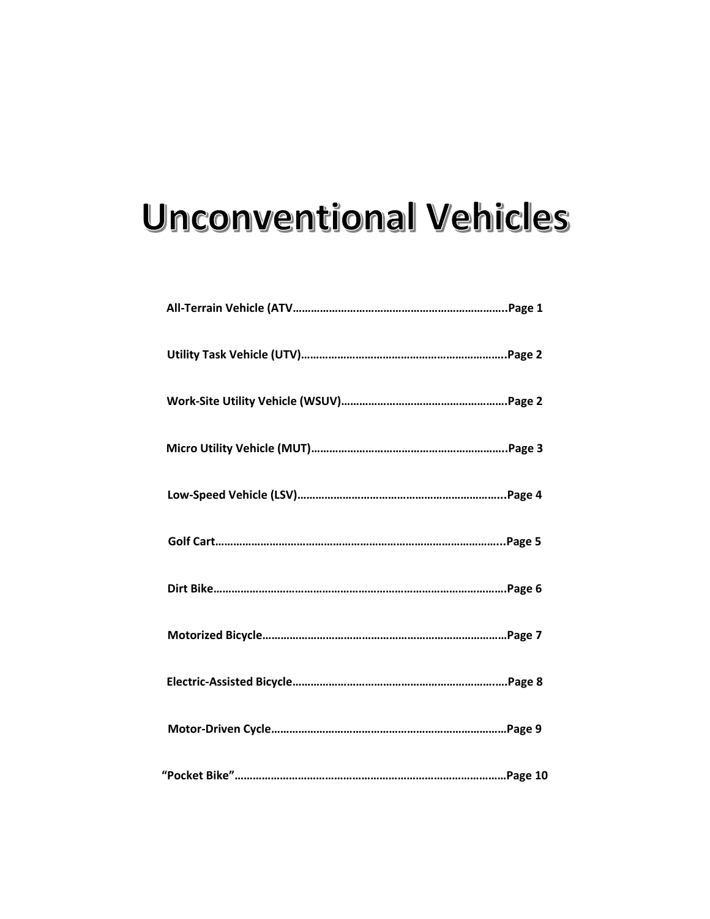# **Unconventional Vehicles**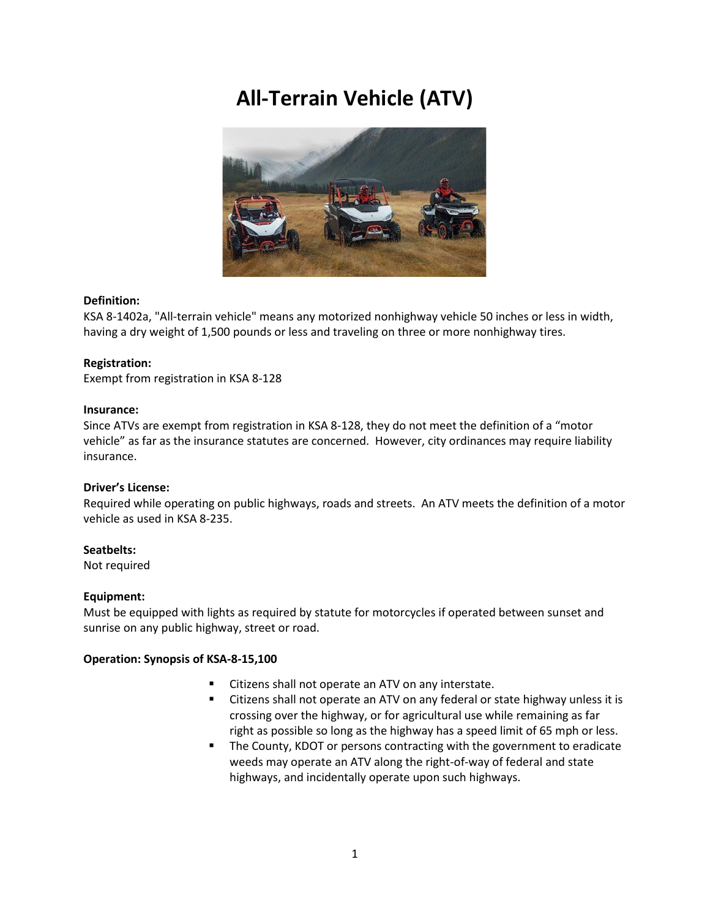# **All-Terrain Vehicle (ATV)**



### **Definition:**

KSA 8-1402a, "All-terrain vehicle" means any motorized nonhighway vehicle 50 inches or less in width, having a dry weight of 1,500 pounds or less and traveling on three or more nonhighway tires.

### **Registration:**

Exempt from registration in KSA 8-128

### **Insurance:**

Since ATVs are exempt from registration in KSA 8-128, they do not meet the definition of a "motor vehicle" as far as the insurance statutes are concerned. However, city ordinances may require liability insurance.

### **Driver's License:**

Required while operating on public highways, roads and streets. An ATV meets the definition of a motor vehicle as used in KSA 8-235.

### **Seatbelts:**

Not required

### **Equipment:**

Must be equipped with lights as required by statute for motorcycles if operated between sunset and sunrise on any public highway, street or road.

- Citizens shall not operate an ATV on any interstate.
- Citizens shall not operate an ATV on any federal or state highway unless it is crossing over the highway, or for agricultural use while remaining as far right as possible so long as the highway has a speed limit of 65 mph or less.
- The County, KDOT or persons contracting with the government to eradicate weeds may operate an ATV along the right-of-way of federal and state highways, and incidentally operate upon such highways.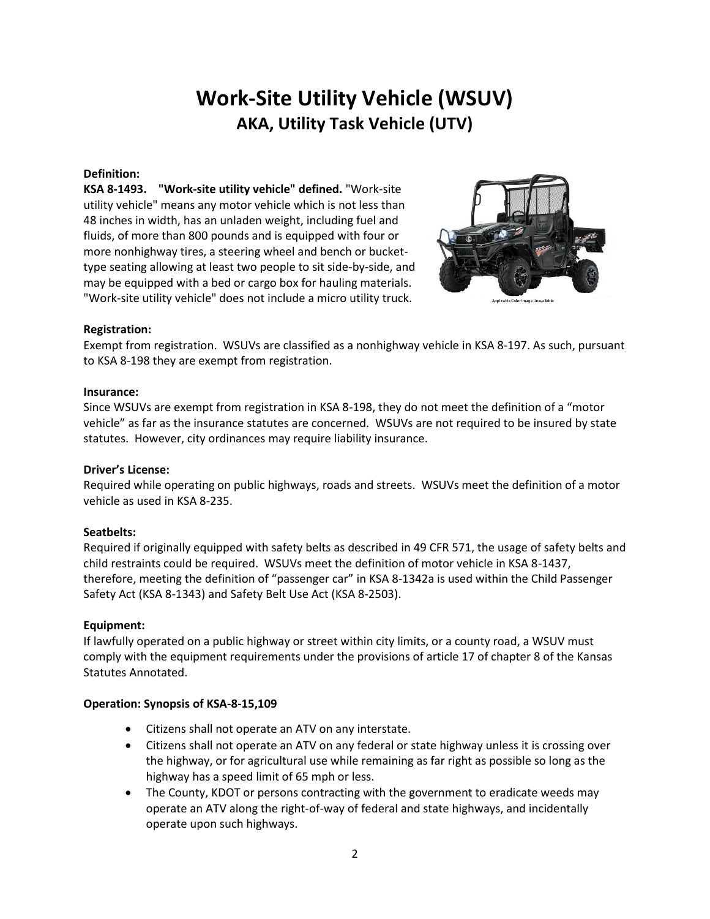### **Work-Site Utility Vehicle (WSUV) AKA, Utility Task Vehicle (UTV)**

### **Definition:**

**KSA 8-1493. "Work-site utility vehicle" defined.** "Work-site utility vehicle" means any motor vehicle which is not less than 48 inches in width, has an unladen weight, including fuel and fluids, of more than 800 pounds and is equipped with four or more nonhighway tires, a steering wheel and bench or buckettype seating allowing at least two people to sit side-by-side, and may be equipped with a bed or cargo box for hauling materials. "Work-site utility vehicle" does not include a micro utility truck.



### **Registration:**

Exempt from registration. WSUVs are classified as a nonhighway vehicle in KSA 8-197. As such, pursuant to KSA 8-198 they are exempt from registration.

### **Insurance:**

Since WSUVs are exempt from registration in KSA 8-198, they do not meet the definition of a "motor vehicle" as far as the insurance statutes are concerned. WSUVs are not required to be insured by state statutes. However, city ordinances may require liability insurance.

### **Driver's License:**

Required while operating on public highways, roads and streets. WSUVs meet the definition of a motor vehicle as used in KSA 8-235.

### **Seatbelts:**

Required if originally equipped with safety belts as described in 49 CFR 571, the usage of safety belts and child restraints could be required. WSUVs meet the definition of motor vehicle in KSA 8-1437, therefore, meeting the definition of "passenger car" in KSA 8-1342a is used within the Child Passenger Safety Act (KSA 8-1343) and Safety Belt Use Act (KSA 8-2503).

### **Equipment:**

If lawfully operated on a public highway or street within city limits, or a county road, a WSUV must comply with the equipment requirements under the provisions of article 17 of chapter 8 of the Kansas Statutes Annotated.

- Citizens shall not operate an ATV on any interstate.
- Citizens shall not operate an ATV on any federal or state highway unless it is crossing over the highway, or for agricultural use while remaining as far right as possible so long as the highway has a speed limit of 65 mph or less.
- The County, KDOT or persons contracting with the government to eradicate weeds may operate an ATV along the right-of-way of federal and state highways, and incidentally operate upon such highways.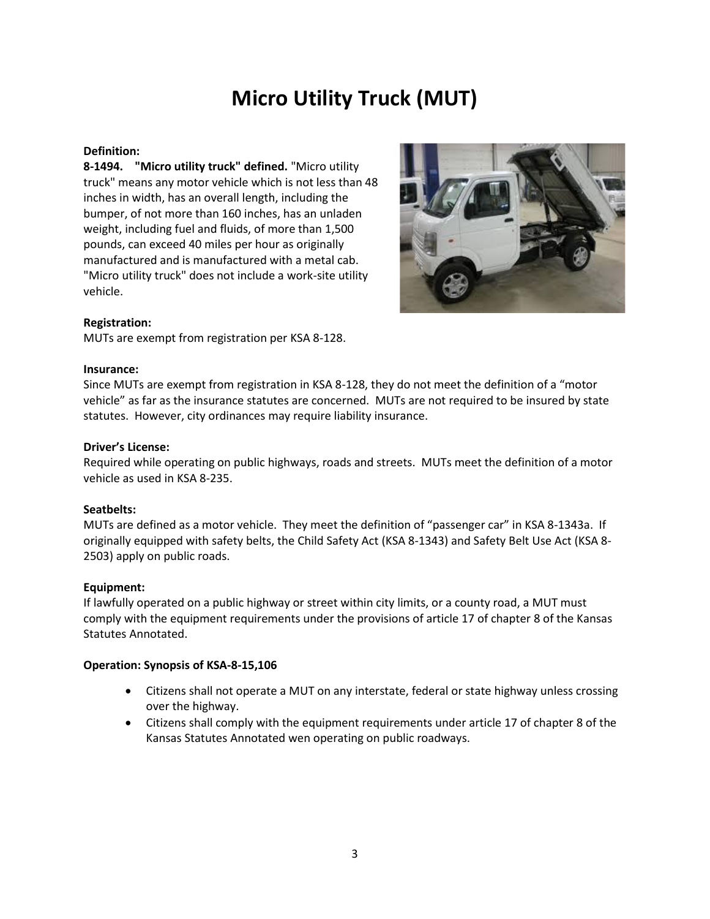### **Micro Utility Truck (MUT)**

### **Definition:**

**8-1494. "Micro utility truck" defined.** "Micro utility truck" means any motor vehicle which is not less than 48 inches in width, has an overall length, including the bumper, of not more than 160 inches, has an unladen weight, including fuel and fluids, of more than 1,500 pounds, can exceed 40 miles per hour as originally manufactured and is manufactured with a metal cab. "Micro utility truck" does not include a work-site utility vehicle.



### **Registration:**

MUTs are exempt from registration per KSA 8-128.

### **Insurance:**

Since MUTs are exempt from registration in KSA 8-128, they do not meet the definition of a "motor vehicle" as far as the insurance statutes are concerned. MUTs are not required to be insured by state statutes. However, city ordinances may require liability insurance.

### **Driver's License:**

Required while operating on public highways, roads and streets. MUTs meet the definition of a motor vehicle as used in KSA 8-235.

### **Seatbelts:**

MUTs are defined as a motor vehicle. They meet the definition of "passenger car" in KSA 8-1343a. If originally equipped with safety belts, the Child Safety Act (KSA 8-1343) and Safety Belt Use Act (KSA 8- 2503) apply on public roads.

### **Equipment:**

If lawfully operated on a public highway or street within city limits, or a county road, a MUT must comply with the equipment requirements under the provisions of article 17 of chapter 8 of the Kansas Statutes Annotated.

- Citizens shall not operate a MUT on any interstate, federal or state highway unless crossing over the highway.
- Citizens shall comply with the equipment requirements under article 17 of chapter 8 of the Kansas Statutes Annotated wen operating on public roadways.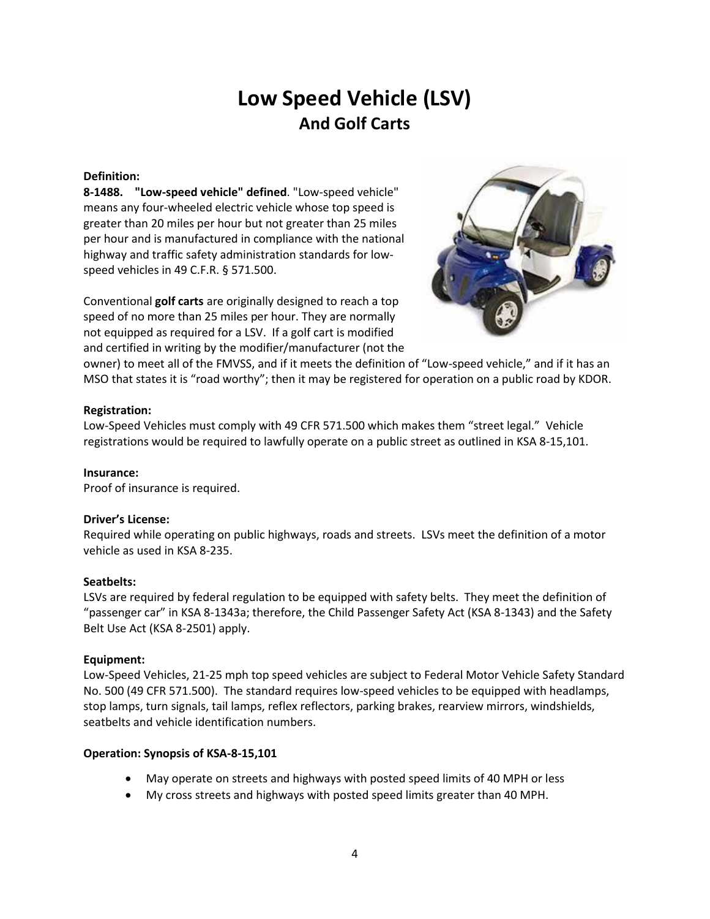### **Low Speed Vehicle (LSV) And Golf Carts**

### **Definition:**

**8-1488. "Low-speed vehicle" defined**. "Low-speed vehicle" means any four-wheeled electric vehicle whose top speed is greater than 20 miles per hour but not greater than 25 miles per hour and is manufactured in compliance with the national highway and traffic safety administration standards for lowspeed vehicles in 49 C.F.R. § 571.500.

Conventional **golf carts** are originally designed to reach a top speed of no more than 25 miles per hour. They are normally not equipped as required for a LSV. If a golf cart is modified and certified in writing by the modifier/manufacturer (not the



owner) to meet all of the FMVSS, and if it meets the definition of "Low-speed vehicle," and if it has an MSO that states it is "road worthy"; then it may be registered for operation on a public road by KDOR.

### **Registration:**

Low-Speed Vehicles must comply with 49 CFR 571.500 which makes them "street legal." Vehicle registrations would be required to lawfully operate on a public street as outlined in KSA 8-15,101.

### **Insurance:**

Proof of insurance is required.

### **Driver's License:**

Required while operating on public highways, roads and streets. LSVs meet the definition of a motor vehicle as used in KSA 8-235.

### **Seatbelts:**

LSVs are required by federal regulation to be equipped with safety belts. They meet the definition of "passenger car" in KSA 8-1343a; therefore, the Child Passenger Safety Act (KSA 8-1343) and the Safety Belt Use Act (KSA 8-2501) apply.

### **Equipment:**

Low-Speed Vehicles, 21-25 mph top speed vehicles are subject to Federal Motor Vehicle Safety Standard No. 500 (49 CFR 571.500). The standard requires low-speed vehicles to be equipped with headlamps, stop lamps, turn signals, tail lamps, reflex reflectors, parking brakes, rearview mirrors, windshields, seatbelts and vehicle identification numbers.

- May operate on streets and highways with posted speed limits of 40 MPH or less
- My cross streets and highways with posted speed limits greater than 40 MPH.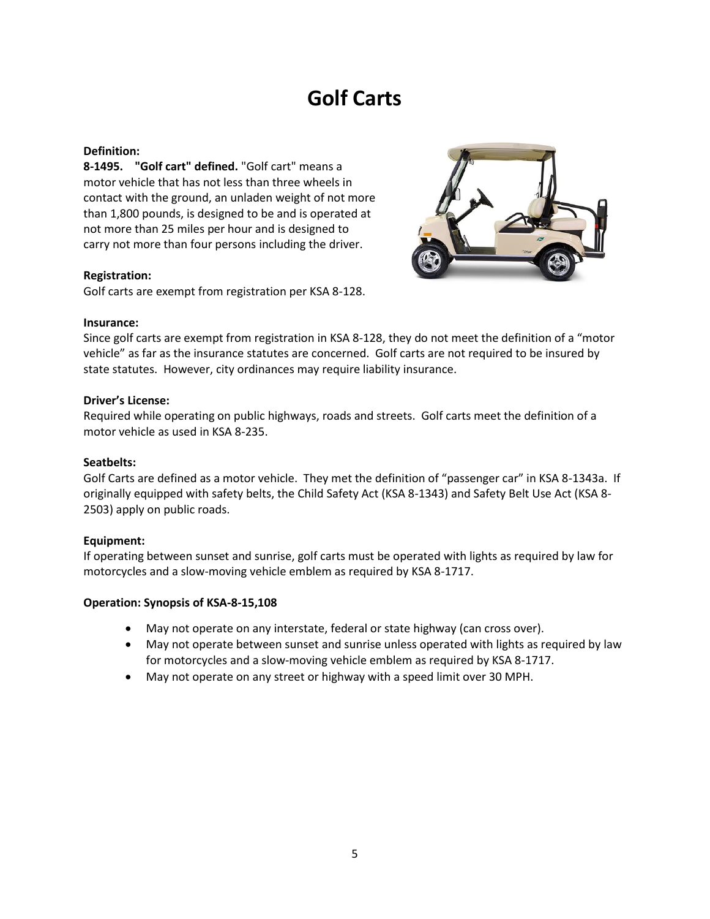### **Golf Carts**

### **Definition:**

**8-1495. "Golf cart" defined.** "Golf cart" means a motor vehicle that has not less than three wheels in contact with the ground, an unladen weight of not more than 1,800 pounds, is designed to be and is operated at not more than 25 miles per hour and is designed to carry not more than four persons including the driver.

### **Registration:**

Golf carts are exempt from registration per KSA 8-128.



### **Insurance:**

Since golf carts are exempt from registration in KSA 8-128, they do not meet the definition of a "motor vehicle" as far as the insurance statutes are concerned. Golf carts are not required to be insured by state statutes. However, city ordinances may require liability insurance.

### **Driver's License:**

Required while operating on public highways, roads and streets. Golf carts meet the definition of a motor vehicle as used in KSA 8-235.

### **Seatbelts:**

Golf Carts are defined as a motor vehicle. They met the definition of "passenger car" in KSA 8-1343a. If originally equipped with safety belts, the Child Safety Act (KSA 8-1343) and Safety Belt Use Act (KSA 8- 2503) apply on public roads.

### **Equipment:**

If operating between sunset and sunrise, golf carts must be operated with lights as required by law for motorcycles and a slow-moving vehicle emblem as required by KSA 8-1717.

- May not operate on any interstate, federal or state highway (can cross over).
- May not operate between sunset and sunrise unless operated with lights as required by law for motorcycles and a slow-moving vehicle emblem as required by KSA 8-1717.
- May not operate on any street or highway with a speed limit over 30 MPH.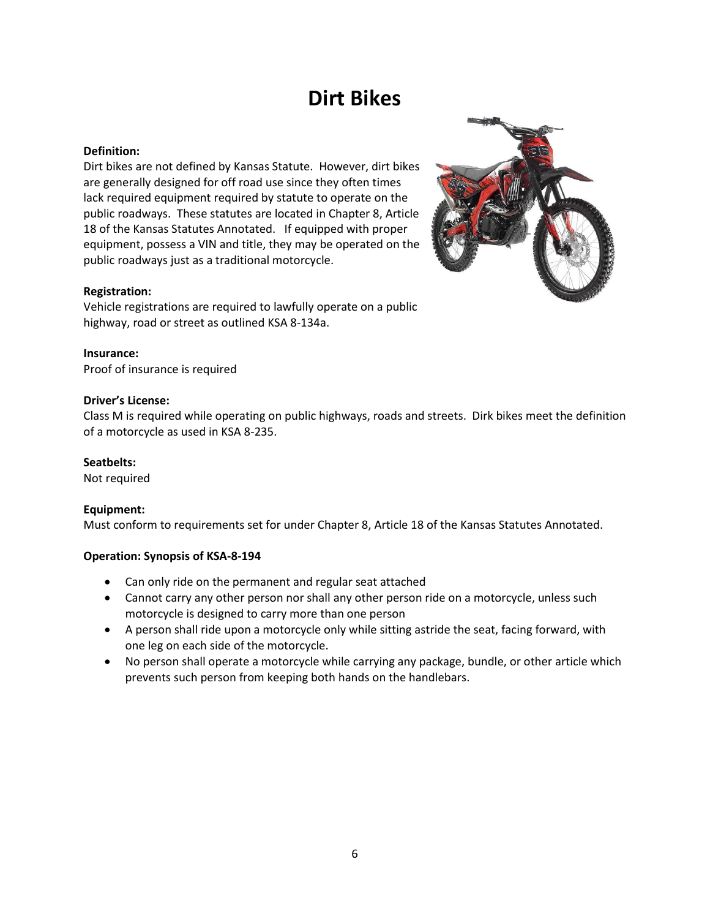### **Dirt Bikes**

### **Definition:**

Dirt bikes are not defined by Kansas Statute. However, dirt bikes are generally designed for off road use since they often times lack required equipment required by statute to operate on the public roadways. These statutes are located in Chapter 8, Article 18 of the Kansas Statutes Annotated. If equipped with proper equipment, possess a VIN and title, they may be operated on the public roadways just as a traditional motorcycle.

### **Registration:**

Vehicle registrations are required to lawfully operate on a public highway, road or street as outlined KSA 8-134a.

**Insurance:** Proof of insurance is required

### **Driver's License:**

Class M is required while operating on public highways, roads and streets. Dirk bikes meet the definition of a motorcycle as used in KSA 8-235.

### **Seatbelts:**

Not required

### **Equipment:**

Must conform to requirements set for under Chapter 8, Article 18 of the Kansas Statutes Annotated.

- Can only ride on the permanent and regular seat attached
- Cannot carry any other person nor shall any other person ride on a motorcycle, unless such motorcycle is designed to carry more than one person
- A person shall ride upon a motorcycle only while sitting astride the seat, facing forward, with one leg on each side of the motorcycle.
- No person shall operate a motorcycle while carrying any package, bundle, or other article which prevents such person from keeping both hands on the handlebars.

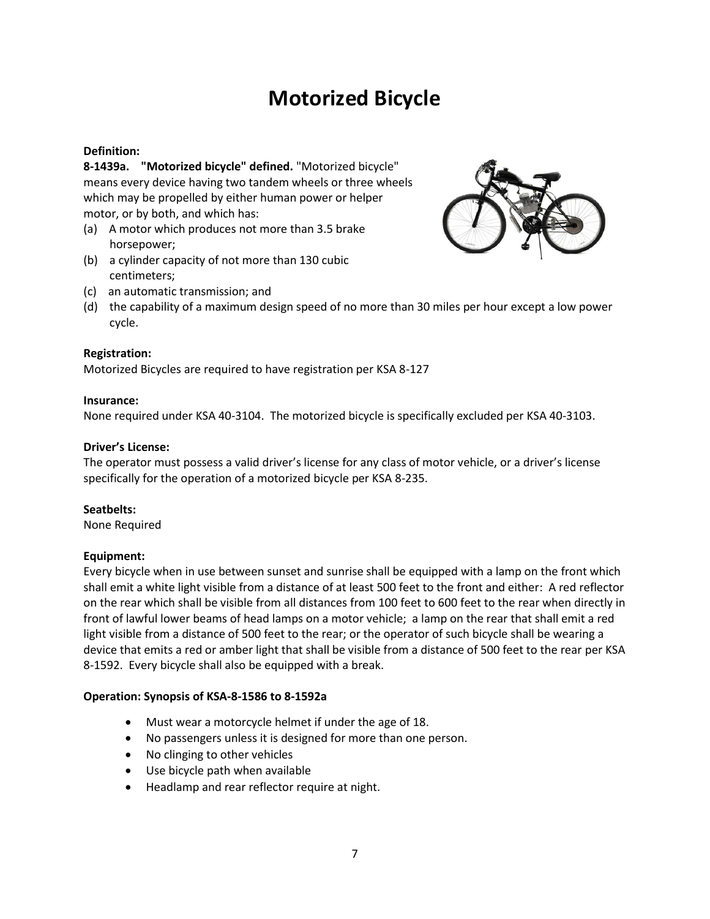### **Motorized Bicycle**

### **Definition:**

**8-1439a. "Motorized bicycle" defined.** "Motorized bicycle" means every device having two tandem wheels or three wheels which may be propelled by either human power or helper motor, or by both, and which has:

- (a) A motor which produces not more than 3.5 brake horsepower;
- (b) a cylinder capacity of not more than 130 cubic centimeters;



- (c) an automatic transmission; and
- (d) the capability of a maximum design speed of no more than 30 miles per hour except a low power cycle.

### **Registration:**

Motorized Bicycles are required to have registration per KSA 8-127

### **Insurance:**

None required under KSA 40-3104. The motorized bicycle is specifically excluded per KSA 40-3103.

### **Driver's License:**

The operator must possess a valid driver's license for any class of motor vehicle, or a driver's license specifically for the operation of a motorized bicycle per KSA 8-235.

### **Seatbelts:**

None Required

### **Equipment:**

Every bicycle when in use between sunset and sunrise shall be equipped with a lamp on the front which shall emit a white light visible from a distance of at least 500 feet to the front and either: A red reflector on the rear which shall be visible from all distances from 100 feet to 600 feet to the rear when directly in front of lawful lower beams of head lamps on a motor vehicle; a lamp on the rear that shall emit a red light visible from a distance of 500 feet to the rear; or the operator of such bicycle shall be wearing a device that emits a red or amber light that shall be visible from a distance of 500 feet to the rear per KSA 8-1592. Every bicycle shall also be equipped with a break.

### **Operation: Synopsis of KSA-8-1586 to 8-1592a**

- Must wear a motorcycle helmet if under the age of 18.
- No passengers unless it is designed for more than one person.
- No clinging to other vehicles
- Use bicycle path when available
- Headlamp and rear reflector require at night.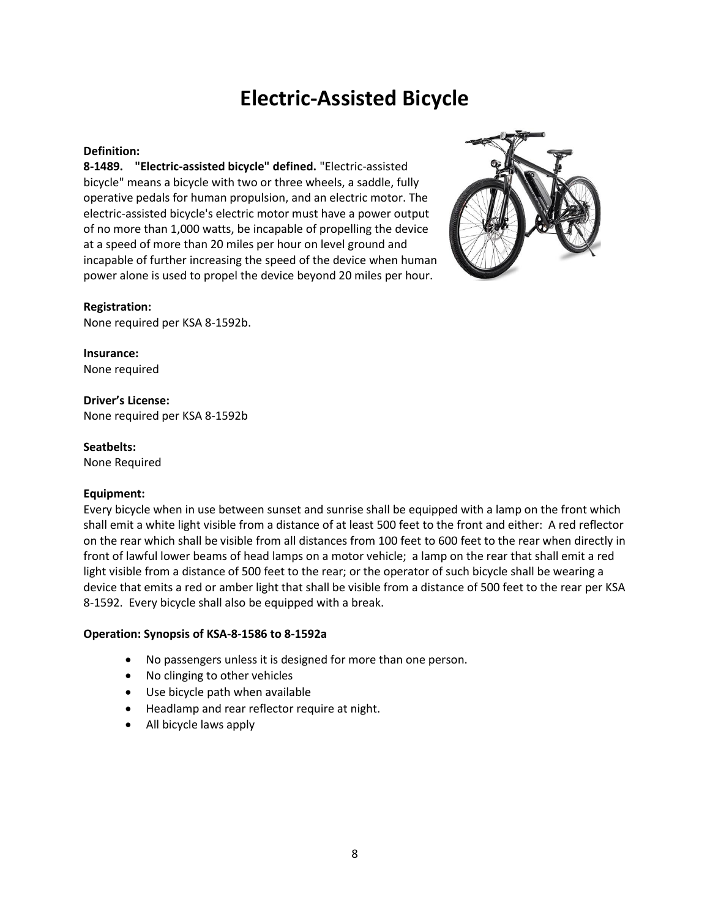### **Electric-Assisted Bicycle**

### **Definition:**

**8-1489. "Electric-assisted bicycle" defined.** "Electric-assisted bicycle" means a bicycle with two or three wheels, a saddle, fully operative pedals for human propulsion, and an electric motor. The electric-assisted bicycle's electric motor must have a power output of no more than 1,000 watts, be incapable of propelling the device at a speed of more than 20 miles per hour on level ground and incapable of further increasing the speed of the device when human power alone is used to propel the device beyond 20 miles per hour.



### **Registration:**

None required per KSA 8-1592b.

**Insurance:** None required

**Driver's License:** None required per KSA 8-1592b

**Seatbelts:**

None Required

### **Equipment:**

Every bicycle when in use between sunset and sunrise shall be equipped with a lamp on the front which shall emit a white light visible from a distance of at least 500 feet to the front and either: A red reflector on the rear which shall be visible from all distances from 100 feet to 600 feet to the rear when directly in front of lawful lower beams of head lamps on a motor vehicle; a lamp on the rear that shall emit a red light visible from a distance of 500 feet to the rear; or the operator of such bicycle shall be wearing a device that emits a red or amber light that shall be visible from a distance of 500 feet to the rear per KSA 8-1592. Every bicycle shall also be equipped with a break.

### **Operation: Synopsis of KSA-8-1586 to 8-1592a**

- No passengers unless it is designed for more than one person.
- No clinging to other vehicles
- Use bicycle path when available
- Headlamp and rear reflector require at night.
- All bicycle laws apply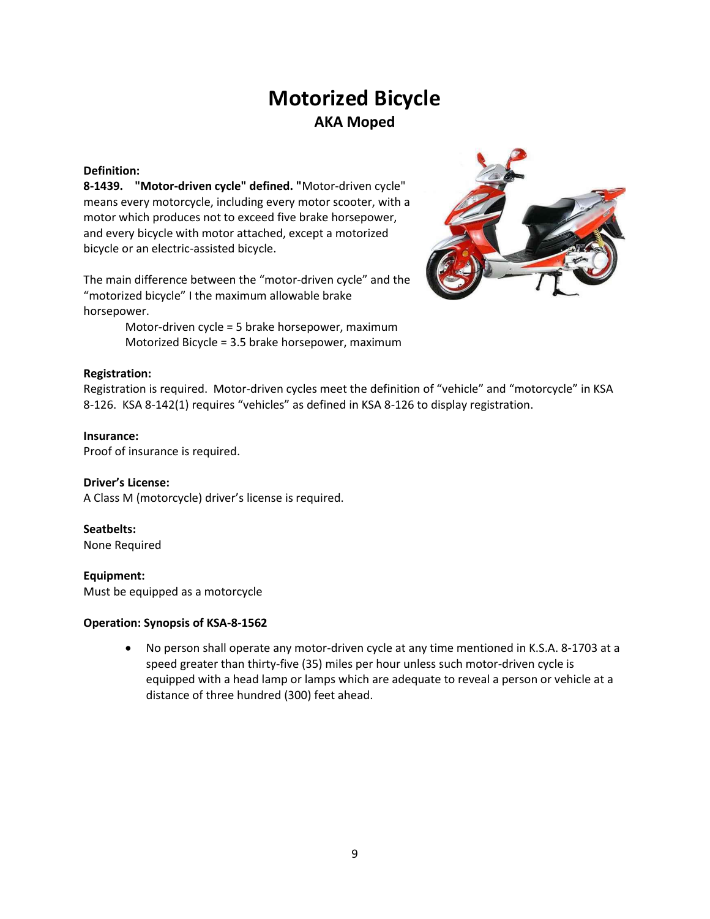### **Motorized Bicycle AKA Moped**

### **Definition:**

**8-1439. "Motor-driven cycle" defined. "**Motor-driven cycle" means every motorcycle, including every motor scooter, with a motor which produces not to exceed five brake horsepower, and every bicycle with motor attached, except a motorized bicycle or an electric-assisted bicycle.

The main difference between the "motor-driven cycle" and the "motorized bicycle" I the maximum allowable brake horsepower.

> Motor-driven cycle = 5 brake horsepower, maximum Motorized Bicycle = 3.5 brake horsepower, maximum



### **Registration:**

Registration is required. Motor-driven cycles meet the definition of "vehicle" and "motorcycle" in KSA 8-126. KSA 8-142(1) requires "vehicles" as defined in KSA 8-126 to display registration.

### **Insurance:**

Proof of insurance is required.

### **Driver's License:**

A Class M (motorcycle) driver's license is required.

### **Seatbelts:**

None Required

### **Equipment:**

Must be equipped as a motorcycle

### **Operation: Synopsis of KSA-8-1562**

• No person shall operate any motor-driven cycle at any time mentioned in K.S.A. 8-1703 at a speed greater than thirty-five (35) miles per hour unless such motor-driven cycle is equipped with a head lamp or lamps which are adequate to reveal a person or vehicle at a distance of three hundred (300) feet ahead.